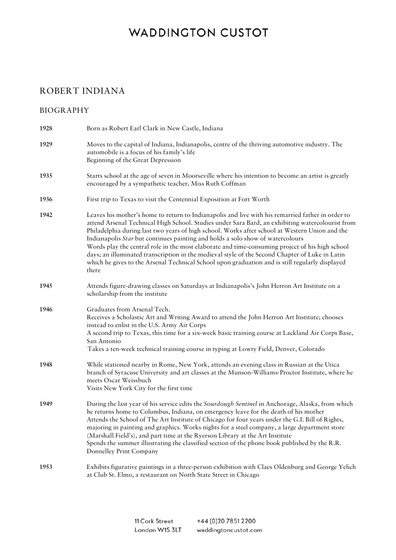#### ROBERT INDIANA

#### BIOGRAPHY

| 1928 | Born as Robert Earl Clark in New Castle, Indiana                                                                                                                                                                                                                                                                                                                                                                                                                                                                                                                                                                                                                                                            |
|------|-------------------------------------------------------------------------------------------------------------------------------------------------------------------------------------------------------------------------------------------------------------------------------------------------------------------------------------------------------------------------------------------------------------------------------------------------------------------------------------------------------------------------------------------------------------------------------------------------------------------------------------------------------------------------------------------------------------|
| 1929 | Moves to the capital of Indiana, Indianapolis, centre of the thriving automotive industry. The<br>automobile is a focus of his family's life<br>Beginning of the Great Depression                                                                                                                                                                                                                                                                                                                                                                                                                                                                                                                           |
| 1935 | Starts school at the age of seven in Moorseville where his intention to become an artist is greatly<br>encouraged by a sympathetic teacher, Miss Ruth Coffman                                                                                                                                                                                                                                                                                                                                                                                                                                                                                                                                               |
| 1936 | First trip to Texas to visit the Centennial Exposition at Fort Worth                                                                                                                                                                                                                                                                                                                                                                                                                                                                                                                                                                                                                                        |
| 1942 | Leaves his mother's home to return to Indianapolis and live with his remarried father in order to<br>attend Arsenal Technical High School. Studies under Sara Bard, an exhibiting watercolourist from<br>Philadelphia during last two years of high school. Works after school at Western Union and the<br>Indianapolis Star but continues painting and holds a solo show of watercolours<br>Words play the central role in the most elaborate and time-consuming project of his high school<br>days; an illuminated transcription in the medieval style of the Second Chapter of Luke in Latin<br>which he gives to the Arsenal Technical School upon graduation and is still regularly displayed<br>there |
| 1945 | Attends figure-drawing classes on Saturdays at Indianapolis's John Herron Art Institute on a<br>scholarship from the institute                                                                                                                                                                                                                                                                                                                                                                                                                                                                                                                                                                              |
| 1946 | Graduates from Arsenal Tech.<br>Receives a Scholastic Art and Writing Award to attend the John Herron Art Institute; chooses<br>instead to enlist in the U.S. Army Air Corps<br>A second trip to Texas, this time for a six-week basic training course at Lackland Air Corps Base,<br>San Antonio<br>Takes a ten-week technical training course in typing at Lowry Field, Denver, Colorado                                                                                                                                                                                                                                                                                                                  |
| 1948 | While stationed nearby in Rome, New York, attends an evening class in Russian at the Utica<br>branch of Syracuse University and art classes at the Munson-Williams-Proctor Institute, where he<br>meets Oscar Weissbuch<br>Visits New York City for the first time                                                                                                                                                                                                                                                                                                                                                                                                                                          |
| 1949 | During the last year of his service edits the Sourdough Sentinel in Anchorage, Alaska, from which<br>he returns home to Columbus, Indiana, on emergency leave for the death of his mother<br>Attends the School of The Art Institute of Chicago for four years under the G.I. Bill of Rights,<br>majoring in painting and graphics. Works nights for a steel company, a large department store<br>(Marshall Field's), and part time at the Ryerson Library at the Art Institute<br>Spends the summer illustrating the classified section of the phone book published by the R.R.<br>Donnelley Print Company                                                                                                 |
| 1953 | Exhibits figurative paintings in a three-person exhibition with Claes Oldenburg and George Yelich<br>at Club St. Elmo, a restaurant on North State Street in Chicago                                                                                                                                                                                                                                                                                                                                                                                                                                                                                                                                        |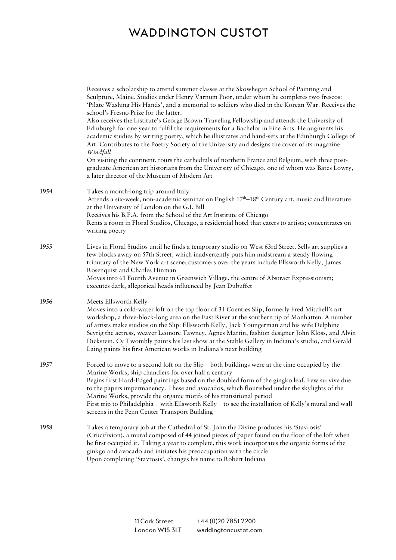|      | Receives a scholarship to attend summer classes at the Skowhegan School of Painting and<br>Sculpture, Maine. Studies under Henry Varnum Poor, under whom he completes two frescos:<br>'Pilate Washing His Hands', and a memorial to soldiers who died in the Korean War. Receives the<br>school's Fresno Prize for the latter.<br>Also receives the Institute's George Brown Traveling Fellowship and attends the University of                                                                                                                                                                      |
|------|------------------------------------------------------------------------------------------------------------------------------------------------------------------------------------------------------------------------------------------------------------------------------------------------------------------------------------------------------------------------------------------------------------------------------------------------------------------------------------------------------------------------------------------------------------------------------------------------------|
|      | Edinburgh for one year to fulfil the requirements for a Bachelor in Fine Arts. He augments his<br>academic studies by writing poetry, which he illustrates and hand-sets at the Edinburgh College of<br>Art. Contributes to the Poetry Society of the University and designs the cover of its magazine<br>Windfall                                                                                                                                                                                                                                                                                   |
|      | On visiting the continent, tours the cathedrals of northern France and Belgium, with three post-<br>graduate American art historians from the University of Chicago, one of whom was Bates Lowry,<br>a later director of the Museum of Modern Art                                                                                                                                                                                                                                                                                                                                                    |
| 1954 | Takes a month-long trip around Italy<br>Attends a six-week, non-academic seminar on English 17 <sup>th</sup> -18 <sup>th</sup> Century art, music and literature<br>at the University of London on the G.I. Bill<br>Receives his B.F.A. from the School of the Art Institute of Chicago<br>Rents a room in Floral Studios, Chicago, a residential hotel that caters to artists; concentrates on<br>writing poetry                                                                                                                                                                                    |
| 1955 | Lives in Floral Studios until he finds a temporary studio on West 63rd Street. Sells art supplies a<br>few blocks away on 57th Street, which inadvertently puts him midstream a steady flowing<br>tributary of the New York art scene; customers over the years include Ellsworth Kelly, James<br>Rosenquist and Charles Hinman<br>Moves into 61 Fourth Avenue in Greenwich Village, the centre of Abstract Expressionism;<br>executes dark, allegorical heads influenced by Jean Dubuffet                                                                                                           |
| 1956 | Meets Ellsworth Kelly<br>Moves into a cold-water loft on the top floor of 31 Coenties Slip, formerly Fred Mitchell's art<br>workshop, a three-block-long area on the East River at the southern tip of Manhatten. A number<br>of artists make studios on the Slip: Ellsworth Kelly, Jack Youngerman and his wife Delphine<br>Seyrig the actress, weaver Leonore Tawney, Agnes Martin, fashion designer John Kloss, and Alvin<br>Dickstein. Cy Twombly paints his last show at the Stable Gallery in Indiana's studio, and Gerald<br>Laing paints his first American works in Indiana's next building |
| 1957 | Forced to move to a second loft on the Slip – both buildings were at the time occupied by the<br>Marine Works, ship chandlers for over half a century<br>Begins first Hard-Edged paintings based on the doubled form of the gingko leaf. Few survive due<br>to the papers impermanency. These and avocados, which flourished under the skylights of the<br>Marine Works, provide the organic motifs of his transitional period<br>First trip to Philadelphia - with Ellsworth Kelly - to see the installation of Kelly's mural and wall<br>screens in the Penn Center Transport Building             |
| 1958 | Takes a temporary job at the Cathedral of St. John the Divine produces his 'Stavrosis'<br>(Crucifixion), a mural composed of 44 joined pieces of paper found on the floor of the loft when<br>he first occupied it. Taking a year to complete, this work incorporates the organic forms of the<br>ginkgo and avocado and initiates his preoccupation with the circle<br>Upon completing 'Stavrosis', changes his name to Robert Indiana                                                                                                                                                              |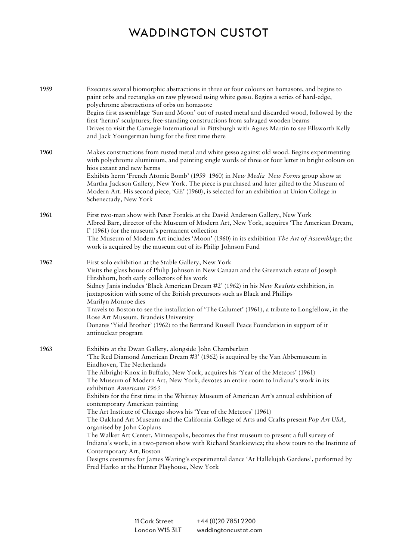| 1959 | Executes several biomorphic abstractions in three or four colours on homasote, and begins to<br>paint orbs and rectangles on raw plywood using white gesso. Begins a series of hard-edge,<br>polychrome abstractions of orbs on homasote<br>Begins first assemblage 'Sun and Moon' out of rusted metal and discarded wood, followed by the<br>first 'herms' sculptures; free-standing constructions from salvaged wooden beams<br>Drives to visit the Carnegie International in Pittsburgh with Agnes Martin to see Ellsworth Kelly<br>and Jack Youngerman hung for the first time there                                                                                                                                                                                                                                                                                                                                                                                                                                                                                                       |
|------|------------------------------------------------------------------------------------------------------------------------------------------------------------------------------------------------------------------------------------------------------------------------------------------------------------------------------------------------------------------------------------------------------------------------------------------------------------------------------------------------------------------------------------------------------------------------------------------------------------------------------------------------------------------------------------------------------------------------------------------------------------------------------------------------------------------------------------------------------------------------------------------------------------------------------------------------------------------------------------------------------------------------------------------------------------------------------------------------|
| 1960 | Makes constructions from rusted metal and white gesso against old wood. Begins experimenting<br>with polychrome aluminium, and painting single words of three or four letter in bright colours on<br>hios extant and new herms<br>Exhibits herm 'French Atomic Bomb' (1959-1960) in New Media-New Forms group show at<br>Martha Jackson Gallery, New York. The piece is purchased and later gifted to the Museum of<br>Modern Art. His second piece, 'GE' (1960), is selected for an exhibition at Union College in<br>Schenectady, New York                                                                                                                                                                                                                                                                                                                                                                                                                                                                                                                                                   |
| 1961 | First two-man show with Peter Forakis at the David Anderson Gallery, New York<br>Albred Barr, director of the Museum of Modern Art, New York, acquires 'The American Dream,<br>I' (1961) for the museum's permanent collection<br>The Museum of Modern Art includes 'Moon' (1960) in its exhibition The Art of Assemblage; the<br>work is acquired by the museum out of its Philip Johnson Fund                                                                                                                                                                                                                                                                                                                                                                                                                                                                                                                                                                                                                                                                                                |
| 1962 | First solo exhibition at the Stable Gallery, New York<br>Visits the glass house of Philip Johnson in New Canaan and the Greenwich estate of Joseph<br>Hirshhorn, both early collectors of his work<br>Sidney Janis includes 'Black American Dream #2' (1962) in his New Realists exhibition, in<br>juxtaposition with some of the British precursors such as Black and Phillips<br>Marilyn Monroe dies<br>Travels to Boston to see the installation of 'The Calumet' (1961), a tribute to Longfellow, in the<br>Rose Art Museum, Brandeis University<br>Donates 'Yield Brother' (1962) to the Bertrand Russell Peace Foundation in support of it<br>antinuclear program                                                                                                                                                                                                                                                                                                                                                                                                                        |
| 1963 | Exhibits at the Dwan Gallery, alongside John Chamberlain<br>'The Red Diamond American Dream #3' (1962) is acquired by the Van Abbemuseum in<br>Eindhoven, The Netherlands<br>The Albright-Knox in Buffalo, New York, acquires his 'Year of the Meteors' (1961)<br>The Museum of Modern Art, New York, devotes an entire room to Indiana's work in its<br>exhibition Americans 1963<br>Exhibits for the first time in the Whitney Museum of American Art's annual exhibition of<br>contemporary American painting<br>The Art Institute of Chicago shows his 'Year of the Meteors' (1961)<br>The Oakland Art Museum and the California College of Arts and Crafts present Pop Art USA,<br>organised by John Coplans<br>The Walker Art Center, Minneapolis, becomes the first museum to present a full survey of<br>Indiana's work, in a two-person show with Richard Stankiewicz; the show tours to the Institute of<br>Contemporary Art, Boston<br>Designs costumes for James Waring's experimental dance 'At Hallelujah Gardens', performed by<br>Fred Harko at the Hunter Playhouse, New York |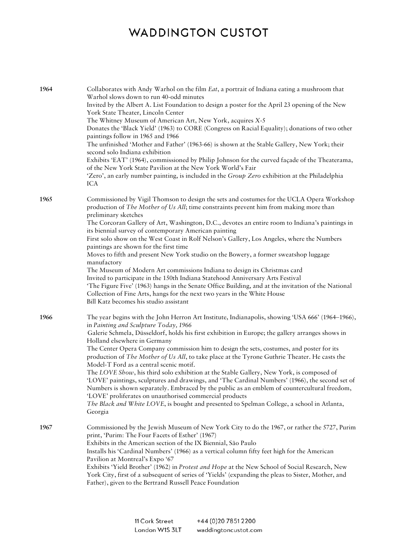| 1964 | Collaborates with Andy Warhol on the film <i>Eat</i> , a portrait of Indiana eating a mushroom that<br>Warhol slows down to run 40-odd minutes<br>Invited by the Albert A. List Foundation to design a poster for the April 23 opening of the New<br>York State Theater, Lincoln Center<br>The Whitney Museum of American Art, New York, acquires X-5<br>Donates the 'Black Yield' (1963) to CORE (Congress on Racial Equality); donations of two other<br>paintings follow in 1965 and 1966<br>The unfinished 'Mother and Father' (1963-66) is shown at the Stable Gallery, New York; their<br>second solo Indiana exhibition<br>Exhibits 'EAT' (1964), commissioned by Philip Johnson for the curved façade of the Theaterama,<br>of the New York State Pavilion at the New York World's Fair<br>'Zero', an early number painting, is included in the Group Zero exhibition at the Philadelphia<br><b>ICA</b>                                                                                                     |
|------|---------------------------------------------------------------------------------------------------------------------------------------------------------------------------------------------------------------------------------------------------------------------------------------------------------------------------------------------------------------------------------------------------------------------------------------------------------------------------------------------------------------------------------------------------------------------------------------------------------------------------------------------------------------------------------------------------------------------------------------------------------------------------------------------------------------------------------------------------------------------------------------------------------------------------------------------------------------------------------------------------------------------|
| 1965 | Commissioned by Vigil Thomson to design the sets and costumes for the UCLA Opera Workshop<br>production of The Mother of Us All; time constraints prevent him from making more than<br>preliminary sketches<br>The Corcoran Gallery of Art, Washington, D.C., devotes an entire room to Indiana's paintings in<br>its biennial survey of contemporary American painting<br>First solo show on the West Coast in Rolf Nelson's Gallery, Los Angeles, where the Numbers<br>paintings are shown for the first time<br>Moves to fifth and present New York studio on the Bowery, a former sweatshop luggage<br>manufactory<br>The Museum of Modern Art commissions Indiana to design its Christmas card<br>Invited to participate in the 150th Indiana Statehood Anniversary Arts Festival<br>'The Figure Five' (1963) hangs in the Senate Office Building, and at the invitation of the National<br>Collection of Fine Arts, hangs for the next two years in the White House<br>Bill Katz becomes his studio assistant |
| 1966 | The year begins with the John Herron Art Institute, Indianapolis, showing 'USA 666' (1964–1966),<br>in Painting and Sculpture Today, 1966<br>Galerie Schmela, Düsseldorf, holds his first exhibition in Europe; the gallery arranges shows in<br>Holland elsewhere in Germany<br>The Center Opera Company commission him to design the sets, costumes, and poster for its<br>production of The Mother of Us All, to take place at the Tyrone Guthrie Theater. He casts the<br>Model-T Ford as a central scenic motif.<br>The LOVE Show, his third solo exhibition at the Stable Gallery, New York, is composed of<br>'LOVE' paintings, sculptures and drawings, and 'The Cardinal Numbers' (1966), the second set of<br>Numbers is shown separately. Embraced by the public as an emblem of countercultural freedom,<br>'LOVE' proliferates on unauthorised commercial products<br>The Black and White LOVE, is bought and presented to Spelman College, a school in Atlanta,<br>Georgia                            |
| 1967 | Commissioned by the Jewish Museum of New York City to do the 1967, or rather the 5727, Purim<br>print, 'Purim: The Four Facets of Esther' (1967)<br>Exhibits in the American section of the IX Biennial, São Paulo<br>Installs his 'Cardinal Numbers' (1966) as a vertical column fifty feet high for the American<br>Pavilion at Montreal's Expo '67<br>Exhibits 'Yield Brother' (1962) in Protest and Hope at the New School of Social Research, New<br>York City, first of a subsequent of series of 'Yields' (expanding the pleas to Sister, Mother, and<br>Father), given to the Bertrand Russell Peace Foundation                                                                                                                                                                                                                                                                                                                                                                                             |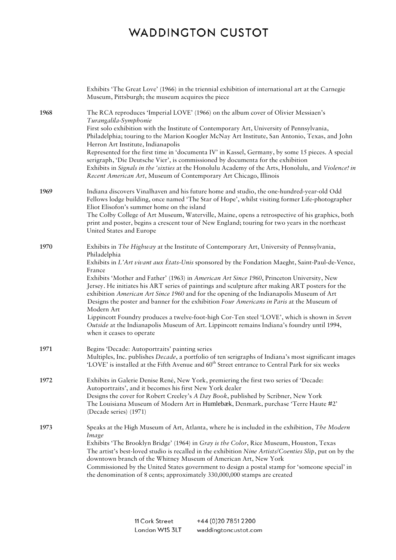|      | Exhibits 'The Great Love' (1966) in the triennial exhibition of international art at the Carnegie<br>Museum, Pittsburgh; the museum acquires the piece                                                                                                                                                                                                                                                                                                                                                                                                                                                                                                                                                                                                                                                                                                    |
|------|-----------------------------------------------------------------------------------------------------------------------------------------------------------------------------------------------------------------------------------------------------------------------------------------------------------------------------------------------------------------------------------------------------------------------------------------------------------------------------------------------------------------------------------------------------------------------------------------------------------------------------------------------------------------------------------------------------------------------------------------------------------------------------------------------------------------------------------------------------------|
| 1968 | The RCA reproduces 'Imperial LOVE' (1966) on the album cover of Olivier Messiaen's<br>Turangalila-Symphonie<br>First solo exhibition with the Institute of Contemporary Art, University of Pennsylvania,<br>Philadelphia; touring to the Marion Koogler McNay Art Institute, San Antonio, Texas, and John<br>Herron Art Institute, Indianapolis<br>Represented for the first time in 'documenta IV' in Kassel, Germany, by some 15 pieces. A special<br>serigraph, 'Die Deutsche Vier', is commissioned by documenta for the exhibition<br>Exhibits in Signals in the 'sixties at the Honolulu Academy of the Arts, Honolulu, and Violence! in<br>Recent American Art, Museum of Contemporary Art Chicago, Illinois                                                                                                                                       |
| 1969 | Indiana discovers Vinalhaven and his future home and studio, the one-hundred-year-old Odd<br>Fellows lodge building, once named 'The Star of Hope', whilst visiting former Life-photographer<br>Eliot Elisofon's summer home on the island<br>The Colby College of Art Museum, Waterville, Maine, opens a retrospective of his graphics, both<br>print and poster, begins a crescent tour of New England; touring for two years in the northeast<br>United States and Europe                                                                                                                                                                                                                                                                                                                                                                              |
| 1970 | Exhibits in The Highway at the Institute of Contemporary Art, University of Pennsylvania,<br>Philadelphia<br>Exhibits in L'Art vivant aux États-Unis sponsored by the Fondation Maeght, Saint-Paul-de-Vence,<br>France<br>Exhibits 'Mother and Father' (1963) in American Art Since 1960, Princeton University, New<br>Jersey. He initiates his ART series of paintings and sculpture after making ART posters for the<br>exhibition American Art Since 1960 and for the opening of the Indianapolis Museum of Art<br>Designs the poster and banner for the exhibition Four Americans in Paris at the Museum of<br>Modern Art<br>Lippincott Foundry produces a twelve-foot-high Cor-Ten steel 'LOVE', which is shown in Seven<br>Outside at the Indianapolis Museum of Art. Lippincott remains Indiana's foundry until 1994,<br>when it ceases to operate |
| 1971 | Begins 'Decade: Autoportraits' painting series<br>Multiples, Inc. publishes Decade, a portfolio of ten serigraphs of Indiana's most significant images<br>'LOVE' is installed at the Fifth Avenue and 60 <sup>th</sup> Street entrance to Central Park for six weeks                                                                                                                                                                                                                                                                                                                                                                                                                                                                                                                                                                                      |
| 1972 | Exhibits in Galerie Denise René, New York, premiering the first two series of 'Decade:<br>Autoportraits', and it becomes his first New York dealer<br>Designs the cover for Robert Creeley's A Day Book, published by Scribner, New York<br>The Louisiana Museum of Modern Art in Humlebæk, Denmark, purchase 'Terre Haute #2'<br>(Decade series) (1971)                                                                                                                                                                                                                                                                                                                                                                                                                                                                                                  |
| 1973 | Speaks at the High Museum of Art, Atlanta, where he is included in the exhibition, The Modern<br>Image<br>Exhibits 'The Brooklyn Bridge' (1964) in Gray is the Color, Rice Museum, Houston, Texas<br>The artist's best-loved studio is recalled in the exhibition Nine Artists/Coenties Slip, put on by the<br>downtown branch of the Whitney Museum of American Art, New York<br>Commissioned by the United States government to design a postal stamp for 'someone special' in<br>the denomination of 8 cents; approximately 330,000,000 stamps are created                                                                                                                                                                                                                                                                                             |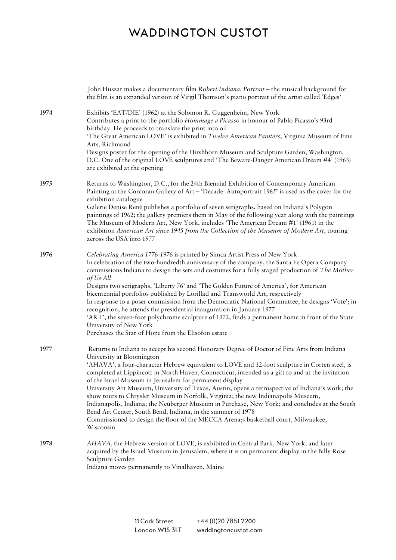|      | John Huszar makes a documentary film Robert Indiana: Portrait - the musical background for<br>the film is an expanded version of Virgil Thomson's piano portrait of the artist called 'Edges'                                                                                                                                                                                                                                                                                                                                                                                                                                                                                                                                                                                                                                                       |
|------|-----------------------------------------------------------------------------------------------------------------------------------------------------------------------------------------------------------------------------------------------------------------------------------------------------------------------------------------------------------------------------------------------------------------------------------------------------------------------------------------------------------------------------------------------------------------------------------------------------------------------------------------------------------------------------------------------------------------------------------------------------------------------------------------------------------------------------------------------------|
| 1974 | Exhibits 'EAT/DIE' (1962) at the Solomon R. Guggenheim, New York<br>Contributes a print to the portfolio Hommage à Picasso in honour of Pablo Picasso's 93rd<br>birthday. He proceeds to translate the print into oil<br>'The Great American LOVE' is exhibited in Twelve American Painters, Virginia Museum of Fine<br>Arts, Richmond<br>Designs poster for the opening of the Hirshhorn Museum and Sculpture Garden, Washington,<br>D.C. One of the original LOVE sculptures and 'The Beware-Danger American Dream #4' (1963)<br>are exhibited at the opening                                                                                                                                                                                                                                                                                     |
| 1975 | Returns to Washington, D.C., for the 24th Biennial Exhibition of Contemporary American<br>Painting at the Corcoran Gallery of Art - 'Decade: Autoportrait 1965' is used as the cover for the<br>exhibition catalogue<br>Galerie Denise René publishes a portfolio of seven serigraphs, based on Indiana's Polygon<br>paintings of 1962; the gallery premiers them in May of the following year along with the paintings<br>The Museum of Modern Art, New York, includes 'The American Dream #1' (1961) in the<br>exhibition American Art since 1945 from the Collection of the Museum of Modern Art, touring<br>across the USA into 1977                                                                                                                                                                                                            |
| 1976 | Celebrating America 1776-1976 is printed by Simca Artist Press of New York<br>In celebration of the two-hundredth anniversary of the company, the Santa Fe Opera Company<br>commissions Indiana to design the sets and costumes for a fully staged production of The Mother<br>of Us All<br>Designs two serigraphs, 'Liberty 76' and 'The Golden Future of America', for American<br>bicentennial portfolios published by Lorillad and Transworld Art, respectively<br>In response to a poser commission from the Democratic National Committee, he designs 'Vote'; in<br>recognition, he attends the presidential inauguration in January 1977<br>'ART', the seven-foot polychrome sculpture of 1972, finds a permanent home in front of the State<br>University of New York<br>Purchases the Star of Hope from the Elisofon estate                |
| 1977 | Returns to Indiana to accept his second Honorary Degree of Doctor of Fine Arts from Indiana<br>University at Bloomington<br>'AHAVA', a four-character Hebrew equivalent to LOVE and 12-foot sculpture in Corten steel, is<br>completed at Lippincott in North Haven, Connecticut, intended as a gift to and at the invitation<br>of the Israel Museum in Jerusalem for permanent display<br>University Art Museum, University of Texas, Austin, opens a retrospective of Indiana's work; the<br>show tours to Chrysler Museum in Norfolk, Virginia; the new Indianapolis Museum,<br>Indianapolis, Indiana; the Neuberger Museum in Purchase, New York; and concludes at the South<br>Bend Art Center, South Bend, Indiana, in the summer of 1978<br>Commissioned to design the floor of the MECCA Arena;s basketball court, Milwaukee,<br>Wisconsin |
| 1978 | AHAVA, the Hebrew version of LOVE, is exhibited in Central Park, New York, and later<br>acquired by the Israel Museum in Jerusalem, where it is on permanent display in the Billy Rose<br>Sculpture Garden<br>Indiana moves permanently to Vinalhaven, Maine                                                                                                                                                                                                                                                                                                                                                                                                                                                                                                                                                                                        |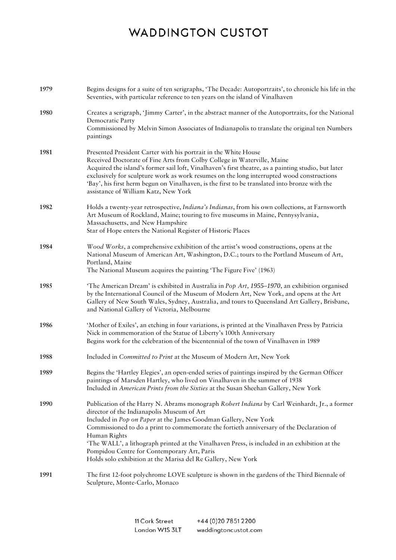| 1979 | Begins designs for a suite of ten serigraphs, 'The Decade: Autoportraits', to chronicle his life in the<br>Seventies, with particular reference to ten years on the island of Vinalhaven                                                                                                                                                                                                                                                                                                                                                  |
|------|-------------------------------------------------------------------------------------------------------------------------------------------------------------------------------------------------------------------------------------------------------------------------------------------------------------------------------------------------------------------------------------------------------------------------------------------------------------------------------------------------------------------------------------------|
| 1980 | Creates a serigraph, 'Jimmy Carter', in the abstract manner of the Autoportraits, for the National<br>Democratic Party<br>Commissioned by Melvin Simon Associates of Indianapolis to translate the original ten Numbers<br>paintings                                                                                                                                                                                                                                                                                                      |
| 1981 | Presented President Carter with his portrait in the White House<br>Received Doctorate of Fine Arts from Colby College in Waterville, Maine<br>Acquired the island's former sail loft, Vinalhaven's first theatre, as a painting studio, but later<br>exclusively for sculpture work as work resumes on the long interrupted wood constructions<br>'Bay', his first herm begun on Vinalhaven, is the first to be translated into bronze with the<br>assistance of William Katz, New York                                                   |
| 1982 | Holds a twenty-year retrospective, Indiana's Indianas, from his own collections, at Farnsworth<br>Art Museum of Rockland, Maine; touring to five museums in Maine, Pennysylvania,<br>Massachusetts, and New Hampshire<br>Star of Hope enters the National Register of Historic Places                                                                                                                                                                                                                                                     |
| 1984 | Wood Works, a comprehensive exhibition of the artist's wood constructions, opens at the<br>National Museum of American Art, Washington, D.C.; tours to the Portland Museum of Art,<br>Portland, Maine<br>The National Museum acquires the painting 'The Figure Five' (1963)                                                                                                                                                                                                                                                               |
| 1985 | 'The American Dream' is exhibited in Australia in Pop Art, 1955-1970, an exhibition organised<br>by the International Council of the Museum of Modern Art, New York, and opens at the Art<br>Gallery of New South Wales, Sydney, Australia, and tours to Queensland Art Gallery, Brisbane,<br>and National Gallery of Victoria, Melbourne                                                                                                                                                                                                 |
| 1986 | 'Mother of Exiles', an etching in four variations, is printed at the Vinalhaven Press by Patricia<br>Nick in commemoration of the Statue of Liberty's 100th Anniversary<br>Begins work for the celebration of the bicentennial of the town of Vinalhaven in 1989                                                                                                                                                                                                                                                                          |
| 1988 | Included in Committed to Print at the Museum of Modern Art, New York                                                                                                                                                                                                                                                                                                                                                                                                                                                                      |
| 1989 | Begins the 'Hartley Elegies', an open-ended series of paintings inspired by the German Officer<br>paintings of Marsden Hartley, who lived on Vinalhaven in the summer of 1938<br>Included in American Prints from the Sixties at the Susan Sheehan Gallery, New York                                                                                                                                                                                                                                                                      |
| 1990 | Publication of the Harry N. Abrams monograph Robert Indiana by Carl Weinhardt, Jr., a former<br>director of the Indianapolis Museum of Art<br>Included in Pop on Paper at the James Goodman Gallery, New York<br>Commissioned to do a print to commemorate the fortieth anniversary of the Declaration of<br>Human Rights<br>'The WALL', a lithograph printed at the Vinalhaven Press, is included in an exhibition at the<br>Pompidou Centre for Contemporary Art, Paris<br>Holds solo exhibition at the Marisa del Re Gallery, New York |
| 1991 | The first 12-foot polychrome LOVE sculpture is shown in the gardens of the Third Biennale of<br>Sculpture, Monte-Carlo, Monaco                                                                                                                                                                                                                                                                                                                                                                                                            |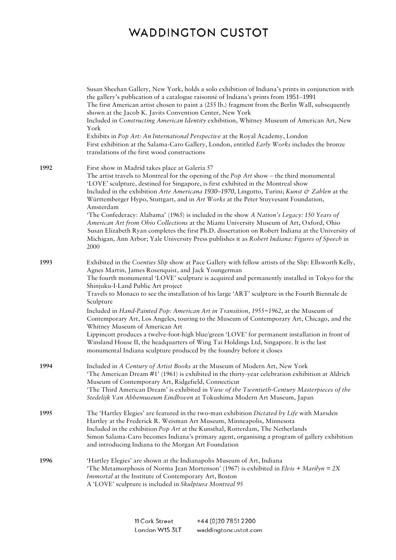|      | Susan Sheehan Gallery, New York, holds a solo exhibition of Indiana's prints in conjunction with<br>the gallery's publication of a catalogue raisonné of Indiana's prints from 1951-1991<br>The first American artist chosen to paint a (255 lb.) fragment from the Berlin Wall, subsequently<br>shown at the Jacob K. Javits Convention Center, New York<br>Included in Constructing American Identity exhibition, Whitney Museum of American Art, New<br>York<br>Exhibits in Pop Art: An International Perspective at the Royal Academy, London<br>First exhibition at the Salama-Caro Gallery, London, entitled Early Works includes the bronze<br>translations of the first wood constructions                                                                                                                                                                                                                   |
|------|----------------------------------------------------------------------------------------------------------------------------------------------------------------------------------------------------------------------------------------------------------------------------------------------------------------------------------------------------------------------------------------------------------------------------------------------------------------------------------------------------------------------------------------------------------------------------------------------------------------------------------------------------------------------------------------------------------------------------------------------------------------------------------------------------------------------------------------------------------------------------------------------------------------------|
| 1992 | First show in Madrid takes place at Galería 57<br>The artist travels to Montreal for the opening of the $Pop$ Art show – the third monumental<br>'LOVE' sculpture, destined for Singapore, is first exhibited in the Montreal show<br>Included in the exhibition Arte Americana 1930-1970, Lingotto, Turini; Kunst & Zahlen at the<br>Württemberger Hypo, Stuttgart, and in Art Works at the Peter Stuyvesant Foundation,<br>Amsterdam<br>'The Confederacy: Alabama' (1965) is included in the show A Nation's Legacy: 150 Years of<br>American Art from Ohio Collections at the Miami University Museum of Art, Oxford, Ohio<br>Susan Elizabeth Ryan completes the first Ph.D. dissertation on Robert Indiana at the University of<br>Michigan, Ann Arbor; Yale University Press publishes it as Robert Indiana: Figures of Speech in<br>2000                                                                       |
| 1993 | Exhibited in the Coenties Slip show at Pace Gallery with fellow artists of the Slip: Ellsworth Kelly,<br>Agnes Martin, James Rosenquist, and Jack Youngerman<br>The fourth monumental 'LOVE' sculpture is acquired and permanently installed in Tokyo for the<br>Shinjuku-I-Land Public Art project<br>Travels to Monaco to see the installation of his large 'ART' sculpture in the Fourth Biennale de<br>Sculpture<br>Included in Hand-Painted Pop: American Art in Transition, 1955-1962, at the Museum of<br>Contemporary Art, Los Angeles, touring to the Museum of Contemporary Art, Chicago, and the<br>Whitney Museum of American Art<br>Lippincott produces a twelve-foot-high blue/green 'LOVE' for permanent installation in front of<br>Winsland House II, the headquarters of Wing Tai Holdings Ltd, Singapore. It is the last<br>monumental Indiana sculpture produced by the foundry before it closes |
| 1994 | Included in A Century of Artist Books at the Museum of Modern Art, New York<br>'The American Dream #1' (1961) is exhibited in the thirty-year celebration exhibition at Aldrich<br>Museum of Contemporary Art, Ridgefield, Connecticut<br>'The Third American Dream' is exhibited in View of the Twentieth-Century Masterpieces of the<br>Stedelijk Van Abbemuseum Eindhoven at Tokushima Modern Art Museum, Japan                                                                                                                                                                                                                                                                                                                                                                                                                                                                                                   |
| 1995 | The 'Hartley Elegies' are featured in the two-man exhibition Dictated by Life with Marsden<br>Hartley at the Frederick R. Weisman Art Museum, Minneapolis, Minnesota<br>Included in the exhibition $Pop$ Art at the Kunsthal, Rotterdam, The Netherlands<br>Simon Salama-Caro becomes Indiana's primary agent, organising a program of gallery exhibition<br>and introducing Indiana to the Morgan Art Foundation                                                                                                                                                                                                                                                                                                                                                                                                                                                                                                    |
| 1996 | 'Hartley Elegies' are shown at the Indianapolis Museum of Art, Indiana<br>'The Metamorphosis of Norma Jean Mortenson' (1967) is exhibited in Elvis + Marilyn = 2X<br>Immortal at the Institute of Contemporary Art, Boston<br>A 'LOVE' sculpture is included in Skulptura Montreal 95                                                                                                                                                                                                                                                                                                                                                                                                                                                                                                                                                                                                                                |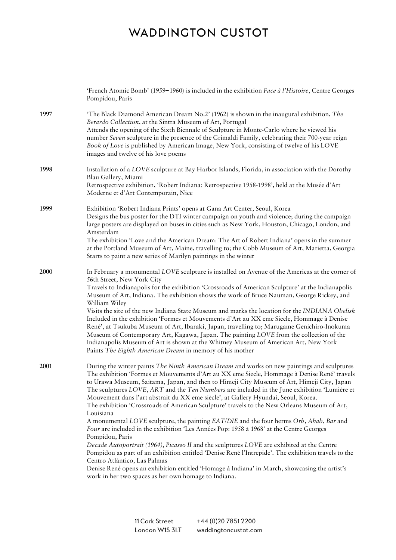|      | 'French Atomic Bomb' (1959–1960) is included in the exhibition Face à l'Histoire, Centre Georges<br>Pompidou, Paris                                                                                                                                                                                                                                                                                                                                                                                                                                                                                                                                                                                                                                                                                                                                                                                                                                                                                                                                                                                                                                                                               |
|------|---------------------------------------------------------------------------------------------------------------------------------------------------------------------------------------------------------------------------------------------------------------------------------------------------------------------------------------------------------------------------------------------------------------------------------------------------------------------------------------------------------------------------------------------------------------------------------------------------------------------------------------------------------------------------------------------------------------------------------------------------------------------------------------------------------------------------------------------------------------------------------------------------------------------------------------------------------------------------------------------------------------------------------------------------------------------------------------------------------------------------------------------------------------------------------------------------|
| 1997 | 'The Black Diamond American Dream No.2' (1962) is shown in the inaugural exhibition, The<br>Berardo Collection, at the Sintra Museum of Art, Portugal<br>Attends the opening of the Sixth Biennale of Sculpture in Monte-Carlo where he viewed his<br>number Seven sculpture in the presence of the Grimaldi Family, celebrating their 700-year reign<br>Book of Love is published by American Image, New York, consisting of twelve of his LOVE<br>images and twelve of his love poems                                                                                                                                                                                                                                                                                                                                                                                                                                                                                                                                                                                                                                                                                                           |
| 1998 | Installation of a LOVE sculpture at Bay Harbor Islands, Florida, in association with the Dorothy<br>Blau Gallery, Miami<br>Retrospective exhibition, 'Robert Indiana: Retrospective 1958-1998', held at the Musée d'Art<br>Moderne et d'Art Contemporain, Nice                                                                                                                                                                                                                                                                                                                                                                                                                                                                                                                                                                                                                                                                                                                                                                                                                                                                                                                                    |
| 1999 | Exhibition 'Robert Indiana Prints' opens at Gana Art Center, Seoul, Korea<br>Designs the bus poster for the DTI winter campaign on youth and violence; during the campaign<br>large posters are displayed on buses in cities such as New York, Houston, Chicago, London, and<br>Amsterdam<br>The exhibition 'Love and the American Dream: The Art of Robert Indiana' opens in the summer<br>at the Portland Museum of Art, Maine, travelling to; the Cobb Museum of Art, Marietta, Georgia<br>Starts to paint a new series of Marilyn paintings in the winter                                                                                                                                                                                                                                                                                                                                                                                                                                                                                                                                                                                                                                     |
| 2000 | In February a monumental LOVE sculpture is installed on Avenue of the Americas at the corner of<br>56th Street, New York City<br>Travels to Indianapolis for the exhibition 'Crossroads of American Sculpture' at the Indianapolis<br>Museum of Art, Indiana. The exhibition shows the work of Bruce Nauman, George Rickey, and<br>William Wiley<br>Visits the site of the new Indiana State Museum and marks the location for the INDIANA Obelisk<br>Included in the exhibition 'Formes et Mouvements d'Art au XX eme Siecle, Hommage à Denise<br>René', at Tsukuba Museum of Art, Ibaraki, Japan, travelling to; Marugame Genichiro-Inokuma<br>Museum of Contemporary Art, Kagawa, Japan. The painting LOVE from the collection of the<br>Indianapolis Museum of Art is shown at the Whitney Museum of American Art, New York<br>Paints The Eighth American Dream in memory of his mother                                                                                                                                                                                                                                                                                                       |
| 2001 | During the winter paints The Ninth American Dream and works on new paintings and sculptures<br>The exhibition 'Formes et Mouvements d'Art au XX eme Siecle, Hommage à Denise René' travels<br>to Urawa Museum, Saitama, Japan, and then to Himeji City Museum of Art, Himeji City, Japan<br>The sculptures LOVE, ART and the Ten Numbers are included in the June exhibition 'Lumière et<br>Mouvement dans l'art abstrait du XX eme siècle', at Gallery Hyundai, Seoul, Korea.<br>The exhibition 'Crossroads of American Sculpture' travels to the New Orleans Museum of Art,<br>Louisiana<br>A monumental LOVE sculpture, the painting EAT/DIE and the four herms Orb, Ahab, Bar and<br>Four are included in the exhibition 'Les Années Pop: 1958 à 1968' at the Centre Georges<br>Pompidou, Paris<br>Decade Autoportrait (1964), Picasso II and the sculptures LOVE are exhibited at the Centre<br>Pompidou as part of an exhibition entitled 'Denise René l'Intrepide'. The exhibition travels to the<br>Centro Atlántico, Las Palmas<br>Denise René opens an exhibition entitled 'Homage à Indiana' in March, showcasing the artist's<br>work in her two spaces as her own homage to Indiana. |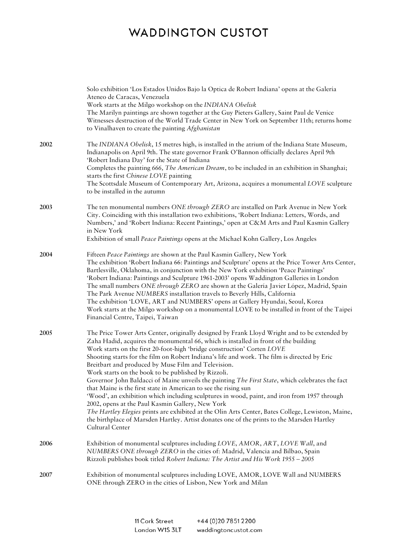|      | Solo exhibition 'Los Estados Unidos Bajo la Optica de Robert Indiana' opens at the Galería<br>Ateneo de Caracas, Venezuela<br>Work starts at the Milgo workshop on the INDIANA Obelisk<br>The Marilyn paintings are shown together at the Guy Pieters Gallery, Saint Paul de Venice<br>Witnesses destruction of the World Trade Center in New York on September 11th; returns home<br>to Vinalhaven to create the painting Afghanistan                                                                                                                                                                                                                                                                                                                                                                                                                                                                                                                                                                                      |
|------|-----------------------------------------------------------------------------------------------------------------------------------------------------------------------------------------------------------------------------------------------------------------------------------------------------------------------------------------------------------------------------------------------------------------------------------------------------------------------------------------------------------------------------------------------------------------------------------------------------------------------------------------------------------------------------------------------------------------------------------------------------------------------------------------------------------------------------------------------------------------------------------------------------------------------------------------------------------------------------------------------------------------------------|
| 2002 | The INDIANA Obelisk, 15 metres high, is installed in the atrium of the Indiana State Museum,<br>Indianapolis on April 9th. The state governor Frank O'Bannon officially declares April 9th<br>'Robert Indiana Day' for the State of Indiana<br>Completes the painting 666, The American Dream, to be included in an exhibition in Shanghai;<br>starts the first Chinese LOVE painting<br>The Scottsdale Museum of Contemporary Art, Arizona, acquires a monumental LOVE sculpture<br>to be installed in the autumn                                                                                                                                                                                                                                                                                                                                                                                                                                                                                                          |
| 2003 | The ten monumental numbers ONE through ZERO are installed on Park Avenue in New York<br>City. Coinciding with this installation two exhibitions, 'Robert Indiana: Letters, Words, and<br>Numbers,' and 'Robert Indiana: Recent Paintings,' open at C&M Arts and Paul Kasmin Gallery<br>in New York<br>Exhibition of small Peace Paintings opens at the Michael Kohn Gallery, Los Angeles                                                                                                                                                                                                                                                                                                                                                                                                                                                                                                                                                                                                                                    |
| 2004 | Fifteen Peace Paintings are shown at the Paul Kasmin Gallery, New York<br>The exhibition 'Robert Indiana 66: Paintings and Sculpture' opens at the Price Tower Arts Center,<br>Bartlesville, Oklahoma, in conjunction with the New York exhibition 'Peace Paintings'<br>'Robert Indiana: Paintings and Sculpture 1961-2003' opens Waddington Galleries in London<br>The small numbers ONE through ZERO are shown at the Galería Javier López, Madrid, Spain<br>The Park Avenue NUMBERS installation travels to Beverly Hills, California<br>The exhibition 'LOVE, ART and NUMBERS' opens at Gallery Hyundai, Seoul, Korea<br>Work starts at the Milgo workshop on a monumental LOVE to be installed in front of the Taipei<br>Financial Centre, Taipei, Taiwan                                                                                                                                                                                                                                                              |
| 2005 | The Price Tower Arts Center, originally designed by Frank Lloyd Wright and to be extended by<br>Zaha Hadid, acquires the monumental 66, which is installed in front of the building<br>Work starts on the first 20-foot-high 'bridge construction' Corten LOVE<br>Shooting starts for the film on Robert Indiana's life and work. The film is directed by Eric<br>Breitbart and produced by Muse Film and Television.<br>Work starts on the book to be published by Rizzoli.<br>Governor John Baldacci of Maine unveils the painting The First State, which celebrates the fact<br>that Maine is the first state in American to see the rising sun<br>'Wood', an exhibition which including sculptures in wood, paint, and iron from 1957 through<br>2002, opens at the Paul Kasmin Gallery, New York<br>The Hartley Elegies prints are exhibited at the Olin Arts Center, Bates College, Lewiston, Maine,<br>the birthplace of Marsden Hartley. Artist donates one of the prints to the Marsden Hartley<br>Cultural Center |
| 2006 | Exhibition of monumental sculptures including LOVE, AMOR, ART, LOVE Wall, and<br>NUMBERS ONE through ZERO in the cities of: Madrid, Valencia and Bilbao, Spain<br>Rizzoli publishes book titled Robert Indiana: The Artist and His Work 1955 - 2005                                                                                                                                                                                                                                                                                                                                                                                                                                                                                                                                                                                                                                                                                                                                                                         |
| 2007 | Exhibition of monumental sculptures including LOVE, AMOR, LOVE Wall and NUMBERS<br>ONE through ZERO in the cities of Lisbon, New York and Milan                                                                                                                                                                                                                                                                                                                                                                                                                                                                                                                                                                                                                                                                                                                                                                                                                                                                             |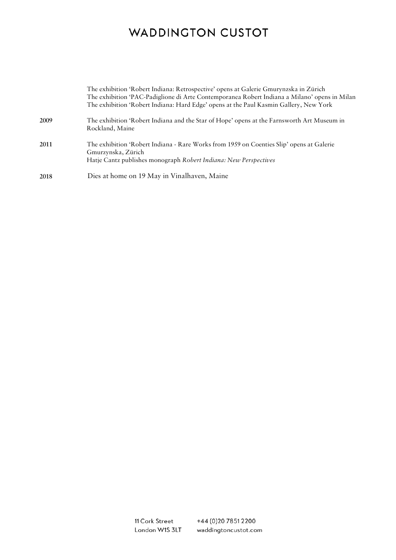|      | The exhibition 'Robert Indiana: Retrospective' opens at Galerie Gmurynzska in Zürich<br>The exhibition 'PAC-Padiglione di Arte Contemporanea Robert Indiana a Milano' opens in Milan<br>The exhibition 'Robert Indiana: Hard Edge' opens at the Paul Kasmin Gallery, New York |
|------|-------------------------------------------------------------------------------------------------------------------------------------------------------------------------------------------------------------------------------------------------------------------------------|
| 2009 | The exhibition 'Robert Indiana and the Star of Hope' opens at the Farnsworth Art Museum in<br>Rockland, Maine                                                                                                                                                                 |
| 2011 | The exhibition 'Robert Indiana - Rare Works from 1959 on Coenties Slip' opens at Galerie<br>Gmurzynska, Zürich<br>Hatje Cantz publishes monograph Robert Indiana: New Perspectives                                                                                            |
| 2018 | Dies at home on 19 May in Vinalhaven, Maine                                                                                                                                                                                                                                   |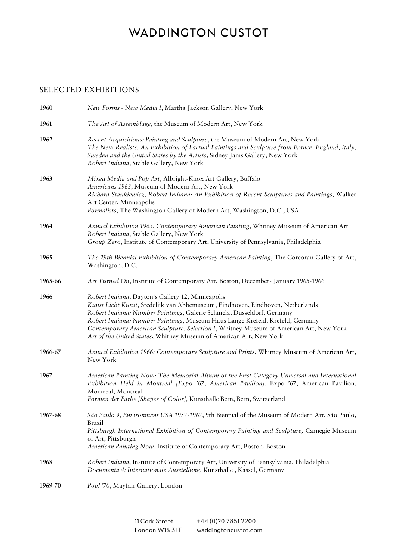#### SELECTED EXHIBITIONS

| 1960    | New Forms - New Media I, Martha Jackson Gallery, New York                                                                                                                                                                                                                                                                                                                                                                                                     |
|---------|---------------------------------------------------------------------------------------------------------------------------------------------------------------------------------------------------------------------------------------------------------------------------------------------------------------------------------------------------------------------------------------------------------------------------------------------------------------|
| 1961    | The Art of Assemblage, the Museum of Modern Art, New York                                                                                                                                                                                                                                                                                                                                                                                                     |
| 1962    | Recent Acquisitions: Painting and Sculpture, the Museum of Modern Art, New York<br>The New Realists: An Exhibition of Factual Paintings and Sculpture from France, England, Italy,<br>Sweden and the United States by the Artists, Sidney Janis Gallery, New York<br>Robert Indiana, Stable Gallery, New York                                                                                                                                                 |
| 1963    | Mixed Media and Pop Art, Albright-Knox Art Gallery, Buffalo<br>Americans 1963, Museum of Modern Art, New York<br>Richard Stankiewicz, Robert Indiana: An Exhibition of Recent Sculptures and Paintings, Walker<br>Art Center, Minneapolis<br>Formalists, The Washington Gallery of Modern Art, Washington, D.C., USA                                                                                                                                          |
| 1964    | Annual Exhibition 1963: Contemporary American Painting, Whitney Museum of American Art<br>Robert Indiana, Stable Gallery, New York<br>Group Zero, Institute of Contemporary Art, University of Pennsylvania, Philadelphia                                                                                                                                                                                                                                     |
| 1965    | The 29th Biennial Exhibition of Contemporary American Painting, The Corcoran Gallery of Art,<br>Washington, D.C.                                                                                                                                                                                                                                                                                                                                              |
| 1965-66 | Art Turned On, Institute of Contemporary Art, Boston, December- January 1965-1966                                                                                                                                                                                                                                                                                                                                                                             |
| 1966    | Robert Indiana, Dayton's Gallery 12, Minneapolis<br>Kunst Licht Kunst, Stedelijk van Abbemuseum, Eindhoven, Eindhoven, Netherlands<br>Robert Indiana: Number Paintings, Galerie Schmela, Düsseldorf, Germany<br>Robert Indiana: Number Paintings, Museum Haus Lange Krefeld, Krefeld, Germany<br>Contemporary American Sculpture: Selection I, Whitney Museum of American Art, New York<br>Art of the United States, Whitney Museum of American Art, New York |
| 1966-67 | Annual Exhibition 1966: Contemporary Sculpture and Prints, Whitney Museum of American Art,<br>New York                                                                                                                                                                                                                                                                                                                                                        |
| 1967    | American Painting Now: The Memorial Album of the First Category Universal and International<br>Exhibition Held in Montreal [Expo '67, American Pavilion], Expo '67, American Pavilion,<br>Montreal, Montreal<br>Formen der Farbe [Shapes of Color], Kunsthalle Bern, Bern, Switzerland                                                                                                                                                                        |
| 1967-68 | São Paulo 9, Environment USA 1957-1967, 9th Biennial of the Museum of Modern Art, São Paulo,<br>Brazil<br>Pittsburgh International Exhibition of Contemporary Painting and Sculpture, Carnegie Museum<br>of Art, Pittsburgh<br>American Painting Now, Institute of Contemporary Art, Boston, Boston                                                                                                                                                           |
| 1968    | Robert Indiana, Institute of Contemporary Art, University of Pennsylvania, Philadelphia<br>Documenta 4: Internationale Ausstellung, Kunsthalle, Kassel, Germany                                                                                                                                                                                                                                                                                               |
| 1969-70 | Pop! '70, Mayfair Gallery, London                                                                                                                                                                                                                                                                                                                                                                                                                             |

11 Cork Street +44 (0) 20 7851 2200 London W1S 3LT waddingtoncustot.com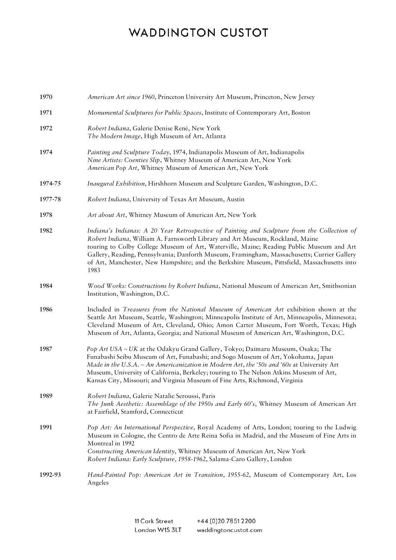| 1970    | American Art since 1960, Princeton University Art Museum, Princeton, New Jersey                                                                                                                                                                                                                                                                                                                                                                                                 |
|---------|---------------------------------------------------------------------------------------------------------------------------------------------------------------------------------------------------------------------------------------------------------------------------------------------------------------------------------------------------------------------------------------------------------------------------------------------------------------------------------|
| 1971    | Monumental Sculptures for Public Spaces, Institute of Contemporary Art, Boston                                                                                                                                                                                                                                                                                                                                                                                                  |
| 1972    | Robert Indiana, Galerie Denise René, New York<br>The Modern Image, High Museum of Art, Atlanta                                                                                                                                                                                                                                                                                                                                                                                  |
| 1974    | Painting and Sculpture Today, 1974, Indianapolis Museum of Art, Indianapolis<br>Nine Artists: Coenties Slip, Whitney Museum of American Art, New York<br>American Pop Art, Whitney Museum of American Art, New York                                                                                                                                                                                                                                                             |
| 1974-75 | Inaugural Exhibition, Hirshhorn Museum and Sculpture Garden, Washington, D.C.                                                                                                                                                                                                                                                                                                                                                                                                   |
| 1977-78 | Robert Indiana, University of Texas Art Museum, Austin                                                                                                                                                                                                                                                                                                                                                                                                                          |
| 1978    | Art about Art, Whitney Museum of American Art, New York                                                                                                                                                                                                                                                                                                                                                                                                                         |
| 1982    | Indiana's Indianas: A 20 Year Retrospective of Painting and Sculpture from the Collection of<br>Robert Indiana, William A. Farnsworth Library and Art Museum, Rockland, Maine<br>touring to Colby College Museum of Art, Waterville, Maine; Reading Public Museum and Art<br>Gallery, Reading, Pennsylvania; Danforth Museum, Framingham, Massachusetts; Currier Gallery<br>of Art, Manchester, New Hampshire; and the Berkshire Museum, Pittsfield, Massachusetts into<br>1983 |
| 1984    | Wood Works: Constructions by Robert Indiana, National Museum of American Art, Smithsonian<br>Institution, Washington, D.C.                                                                                                                                                                                                                                                                                                                                                      |
| 1986    | Included in Treasures from the National Museum of American Art exhibition shown at the<br>Seattle Art Museum, Seattle, Washington; Minneapolis Institute of Art, Minneapolis, Minnesota;<br>Cleveland Museum of Art, Cleveland, Ohio; Amon Carter Museum, Fort Worth, Texas; High<br>Museum of Art, Atlanta, Georgia; and National Museum of American Art, Washington, D.C.                                                                                                     |
| 1987    | Pop Art USA - UK at the Odakyu Grand Gallery, Tokyo; Daimaru Museum, Osaka; The<br>Funabashi Seibu Museum of Art, Funabashi; and Sogo Museum of Art, Yokohama, Japan<br>Made in the U.S.A. - An Americanization in Modern Art, the '50s and '60s at University Art<br>Museum, University of California, Berkeley; touring to The Nelson Atkins Museum of Art,<br>Kansas City, Missouri; and Virginia Museum of Fine Arts, Richmond, Virginia                                    |
| 1989    | Robert Indiana, Galerie Natalie Seroussi, Paris<br>The Junk Aesthetic: Assemblage of the 1950s and Early 60's, Whitney Museum of American Art<br>at Fairfield, Stamford, Connecticut                                                                                                                                                                                                                                                                                            |
| 1991    | Pop Art: An International Perspective, Royal Academy of Arts, London; touring to the Ludwig<br>Museum in Cologne, the Centro de Arte Reina Sofia in Madrid, and the Museum of Fine Arts in<br>Montreal in 1992<br>Constructing American Identity, Whitney Museum of American Art, New York<br>Robert Indiana: Early Sculpture, 1958-1962, Salama-Caro Gallery, London                                                                                                           |
| 1992-93 | Hand-Painted Pop: American Art in Transition, 1955-62, Museum of Contemporary Art, Los<br>Angeles                                                                                                                                                                                                                                                                                                                                                                               |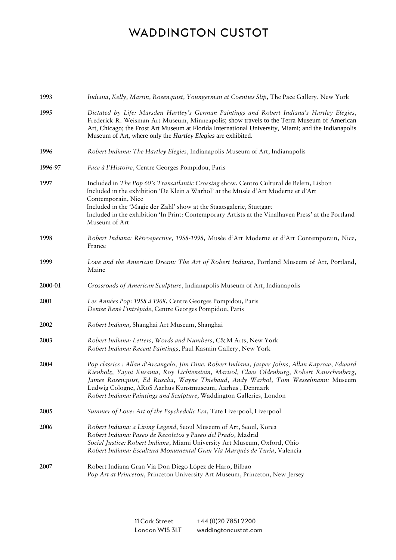| 1993    | Indiana, Kelly, Martin, Rosenquist, Youngerman at Coenties Slip, The Pace Gallery, New York                                                                                                                                                                                                                                                                                                                         |
|---------|---------------------------------------------------------------------------------------------------------------------------------------------------------------------------------------------------------------------------------------------------------------------------------------------------------------------------------------------------------------------------------------------------------------------|
| 1995    | Dictated by Life: Marsden Hartley's German Paintings and Robert Indiana's Hartley Elegies,<br>Frederick R. Weisman Art Museum, Minneapolis; show travels to the Terra Museum of American<br>Art, Chicago; the Frost Art Museum at Florida International University, Miami; and the Indianapolis<br>Museum of Art, where only the Hartley Elegies are exhibited.                                                     |
| 1996    | Robert Indiana: The Hartley Elegies, Indianapolis Museum of Art, Indianapolis                                                                                                                                                                                                                                                                                                                                       |
| 1996-97 | Face à l'Histoire, Centre Georges Pompidou, Paris                                                                                                                                                                                                                                                                                                                                                                   |
| 1997    | Included in The Pop 60's Transatlantic Crossing show, Centro Cultural de Belem, Lisbon<br>Included in the exhibition 'De Klein a Warhol' at the Musée d'Art Moderne et d'Art<br>Contemporain, Nice<br>Included in the 'Magie der Zahl' show at the Staatsgalerie, Stuttgart<br>Included in the exhibition 'In Print: Contemporary Artists at the Vinalhaven Press' at the Portland<br>Museum of Art                 |
| 1998    | Robert Indiana: Rétrospective, 1958-1998, Musée d'Art Moderne et d'Art Contemporain, Nice,<br>France                                                                                                                                                                                                                                                                                                                |
| 1999    | Love and the American Dream: The Art of Robert Indiana, Portland Museum of Art, Portland,<br>Maine                                                                                                                                                                                                                                                                                                                  |
| 2000-01 | Crossroads of American Sculpture, Indianapolis Museum of Art, Indianapolis                                                                                                                                                                                                                                                                                                                                          |
| 2001    | Les Années Pop: 1958 à 1968, Centre Georges Pompidou, Paris<br>Denise René l'intrépide, Centre Georges Pompidou, Paris                                                                                                                                                                                                                                                                                              |
| 2002    | Robert Indiana, Shanghai Art Museum, Shanghai                                                                                                                                                                                                                                                                                                                                                                       |
| 2003    | Robert Indiana: Letters, Words and Numbers, C&M Arts, New York<br>Robert Indiana: Recent Paintings, Paul Kasmin Gallery, New York                                                                                                                                                                                                                                                                                   |
| 2004    | Pop classics : Allan d'Arcangelo, Jim Dine, Robert Indiana, Jasper Johns, Allan Kaprow, Edward<br>Kienholz, Yayoi Kusama, Roy Lichtenstein, Marisol, Claes Oldenburg, Robert Rauschenberg,<br>James Rosenquist, Ed Ruscha, Wayne Thiebaud, Andy Warhol, Tom Wesselmann: Museum<br>Ludwig Cologne, ARoS Aarhus Kunstmuseum, Aarhus, Denmark<br>Robert Indiana: Paintings and Sculpture, Waddington Galleries, London |
| 2005    | Summer of Love: Art of the Psychedelic Era, Tate Liverpool, Liverpool                                                                                                                                                                                                                                                                                                                                               |
| 2006    | Robert Indiana: a Living Legend, Seoul Museum of Art, Seoul, Korea<br>Robert Indiana: Paseo de Recoletos y Paseo del Prado, Madrid<br>Social Justice: Robert Indiana, Miami University Art Museum, Oxford, Ohio<br>Robert Indiana: Escultura Monumental Gran Via Marqués de Turia, Valencia                                                                                                                         |
| 2007    | Robert Indiana Gran Via Don Diego López de Haro, Bilbao<br>Pop Art at Princeton, Princeton University Art Museum, Princeton, New Jersey                                                                                                                                                                                                                                                                             |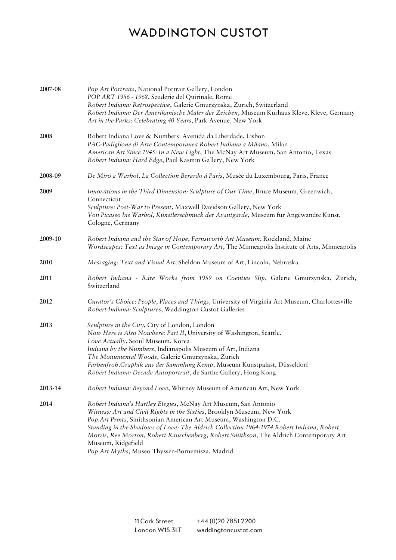| 2007-08 | Pop Art Portraits, National Portrait Gallery, London<br>POP ART 1956 - 1968, Scuderie del Quirinale, Rome<br>Robert Indiana: Retrospective, Galerie Gmurzynska, Zurich, Switzerland<br>Robert Indiana: Der Amerikanische Maler der Zeichen, Museum Kurhaus Kleve, Kleve, Germany<br>Art in the Parks: Celebrating 40 Years, Park Avenue, New York                                                                                                                             |
|---------|-------------------------------------------------------------------------------------------------------------------------------------------------------------------------------------------------------------------------------------------------------------------------------------------------------------------------------------------------------------------------------------------------------------------------------------------------------------------------------|
| 2008    | Robert Indiana Love & Numbers: Avenida da Liberdade, Lisbon<br>PAC-Padiglione di Arte Contemporanea Robert Indiana a Milano, Milan<br>American Art Since 1945: In a New Light, The McNay Art Museum, San Antonio, Texas<br>Robert Indiana: Hard Edge, Paul Kasmin Gallery, New York                                                                                                                                                                                           |
| 2008-09 | De Miró a Warhol. La Collection Berardo á Paris, Musée du Luxembourg, Paris, France                                                                                                                                                                                                                                                                                                                                                                                           |
| 2009    | Innovations in the Third Dimension: Sculpture of Our Time, Bruce Museum, Greenwich,<br>Connecticut<br>Sculpture: Post-War to Present, Maxwell Davidson Gallery, New York<br>Von Picasso bis Warhol, Künstlerschmuck der Avantgarde, Museum für Angewandte Kunst,<br>Cologne, Germany                                                                                                                                                                                          |
| 2009-10 | Robert Indiana and the Star of Hope, Farnsworth Art Museum, Rockland, Maine<br>Wordscapes: Text as Image in Contemporary Art, The Minneapolis Institute of Arts, Minneapolis                                                                                                                                                                                                                                                                                                  |
| 2010    | Messaging: Text and Visual Art, Sheldon Museum of Art, Lincoln, Nebraska                                                                                                                                                                                                                                                                                                                                                                                                      |
| 2011    | Robert Indiana - Rare Works from 1959 on Coenties Slip, Galerie Gmurzynska, Zurich,<br>Switzerland                                                                                                                                                                                                                                                                                                                                                                            |
| 2012    | Curator's Choice: People, Places and Things, University of Virginia Art Museum, Charlottesville<br>Robert Indiana: Sculptures, Waddington Custot Galleries                                                                                                                                                                                                                                                                                                                    |
| 2013    | Sculpture in the City, City of London, London<br>Now Here is Also Nowhere: Part II, University of Washington, Seattle.<br>Love Actually, Seoul Museum, Korea<br>Indiana by the Numbers, Indianapolis Museum of Art, Indiana<br>The Monumental Woods, Galerie Gmurzynska, Zurich<br>Farbenfroh.Graphik aus der Sammlung Kemp, Museum Kunstpalast, Düsseldorf<br>Robert Indiana: Decade Autoportrait, de Sarthe Gallery, Hong Kong                                              |
| 2013-14 | Robert Indiana: Beyond Love, Whitney Museum of American Art, New York                                                                                                                                                                                                                                                                                                                                                                                                         |
| 2014    | Robert Indiana's Hartley Elegies, McNay Art Museum, San Antonio<br>Witness: Art and Civil Rights in the Sixties, Brooklyn Museum, New York<br>Pop Art Prints, Smithsonian American Art Museum, Washington D.C.<br>Standing in the Shadows of Love: The Aldrich Collection 1964-1974 Robert Indiana, Robert<br>Morris, Ree Morton, Robert Rauschenberg, Robert Smithson, The Aldrich Contemporary Art<br>Museum, Ridgefield<br>Pop Art Myths, Museo Thyssen-Bornemisza, Madrid |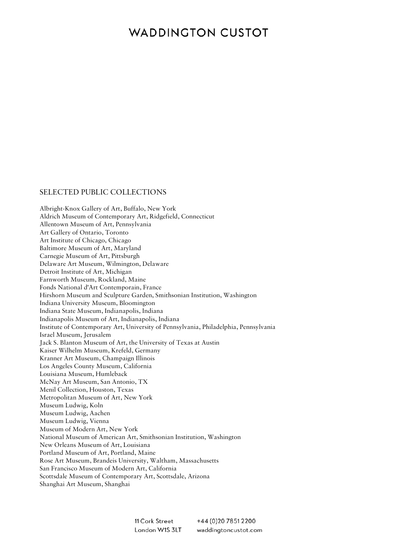#### SELECTED PUBLIC COLLECTIONS

Albright-Knox Gallery of Art, Buffalo, New York Aldrich Museum of Contemporary Art, Ridgefield, Connecticut Allentown Museum of Art, Pennsylvania Art Gallery of Ontario, Toronto Art Institute of Chicago, Chicago Baltimore Museum of Art, Maryland Carnegie Museum of Art, Pittsburgh Delaware Art Museum, Wilmington, Delaware Detroit Institute of Art, Michigan Farnworth Museum, Rockland, Maine Fonds National d'Art Contemporain, France Hirshorn Museum and Sculpture Garden, Smithsonian Institution, Washington Indiana University Museum, Bloomington Indiana State Museum, Indianapolis, Indiana Indianapolis Museum of Art, Indianapolis, Indiana Institute of Contemporary Art, University of Pennsylvania, Philadelphia, Pennsylvania Israel Museum, Jerusalem Jack S. Blanton Museum of Art, the University of Texas at Austin Kaiser Wilhelm Museum, Krefeld, Germany Kranner Art Museum, Champaign Illinois Los Angeles County Museum, California Louisiana Museum, Humleback McNay Art Museum, San Antonio, TX Menil Collection, Houston, Texas Metropolitan Museum of Art, New York Museum Ludwig, Koln Museum Ludwig, Aachen Museum Ludwig, Vienna Museum of Modern Art, New York National Museum of American Art, Smithsonian Institution, Washington New Orleans Museum of Art, Louisiana Portland Museum of Art, Portland, Maine Rose Art Museum, Brandeis University, Waltham, Massachusetts San Francisco Museum of Modern Art, California Scottsdale Museum of Contemporary Art, Scottsdale, Arizona Shanghai Art Museum, Shanghai